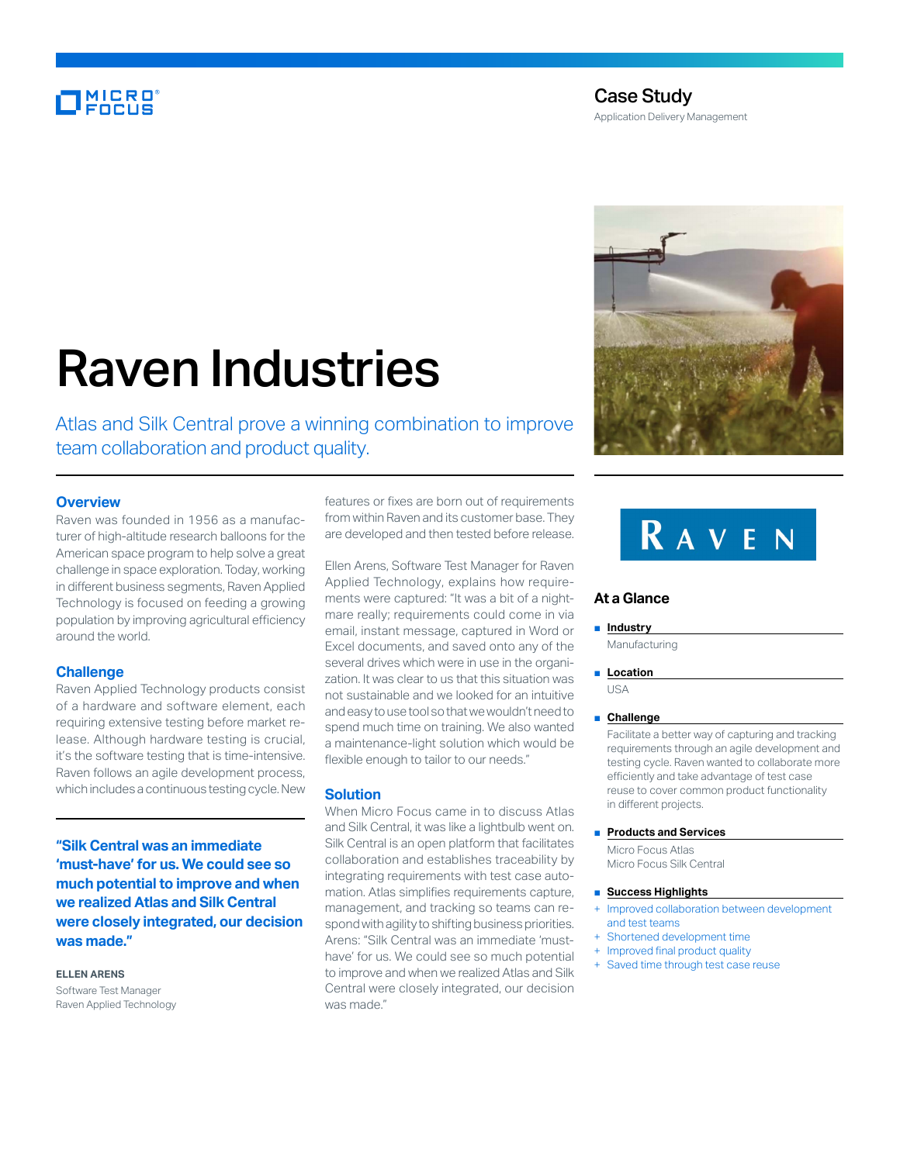### MICRO<br>Encus

### Case Study

Application Delivery Management

# Raven Industries

Atlas and Silk Central prove a winning combination to improve team collaboration and product quality.

### **Overview**

Raven was founded in 1956 as a manufacturer of high-altitude research balloons for the American space program to help solve a great challenge in space exploration. Today, working in different business segments, Raven Applied Technology is focused on feeding a growing population by improving agricultural efficiency around the world.

### **Challenge**

Raven Applied Technology products consist of a hardware and software element, each requiring extensive testing before market release. Although hardware testing is crucial, it's the software testing that is time-intensive. Raven follows an agile development process, which includes a continuous testing cycle. New

**"Silk Central was an immediate 'must-have' for us. We could see so much potential to improve and when we realized Atlas and Silk Central were closely integrated, our decision was made."**

### **ELLEN ARENS**

Software Test Manager Raven Applied Technology features or fixes are born out of requirements from within Raven and its customer base. They are developed and then tested before release.

Ellen Arens, Software Test Manager for Raven Applied Technology, explains how requirements were captured: "It was a bit of a nightmare really; requirements could come in via email, instant message, captured in Word or Excel documents, and saved onto any of the several drives which were in use in the organization. It was clear to us that this situation was not sustainable and we looked for an intuitive and easy to use tool so that we wouldn't need to spend much time on training. We also wanted a maintenance-light solution which would be flexible enough to tailor to our needs."

### **Solution**

When Micro Focus came in to discuss Atlas and Silk Central, it was like a lightbulb went on. Silk Central is an open platform that facilitates collaboration and establishes traceability by integrating requirements with test case automation. Atlas simplifies requirements capture, management, and tracking so teams can respond with agility to shifting business priorities. Arens: "Silk Central was an immediate 'musthave' for us. We could see so much potential to improve and when we realized Atlas and Silk Central were closely integrated, our decision was made."



## **RAVEN**

### **At a Glance**

#### ■ **Industry**

Manufacturing

■ **Location** USA

### ■ **Challenge**

Facilitate a better way of capturing and tracking requirements through an agile development and testing cycle. Raven wanted to collaborate more efficiently and take advantage of test case reuse to cover common product functionality in different projects.

#### ■ **Products and Services**

Micro Focus Atlas Micro Focus Silk Central

### ■ **Success Highlights**

- Improved collaboration between development and test teams
- + Shortened development time
- + Improved final product quality
- + Saved time through test case reuse